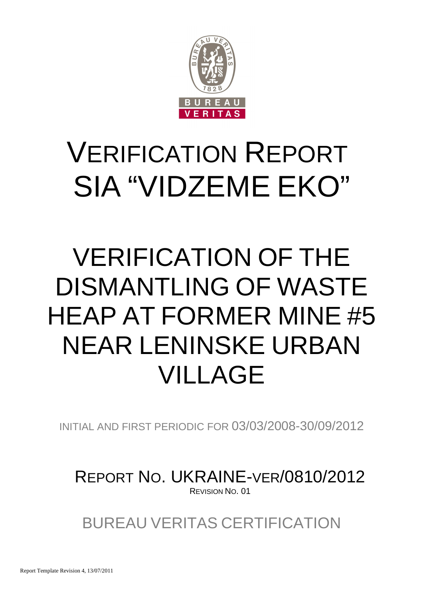

# VERIFICATION REPORT SIA "VIDZEME EKO"

# VERIFICATION OF THE DISMANTLING OF WASTE HEAP AT FORMER MINE #5 NEAR LENINSKE URBAN VILLAGE

INITIAL AND FIRST PERIODIC FOR 03/03/2008-30/09/2012

REPORT NO. UKRAINE-VER/0810/2012 REVISION NO. 01

BUREAU VERITAS CERTIFICATION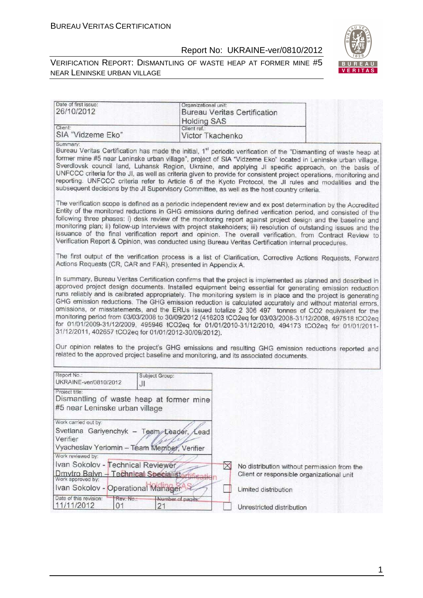#### VERIFICATION REPORT: DISMANTLING OF WASTE HEAP AT FORMER MINE #5 NEAR LENINSKE URBAN VILLAGE



| Date of first issue:<br>26/10/2012                                                           |                        | Organizational unit:<br><b>Bureau Veritas Certification</b>                                                                                                                                                                                                                                                                                                                                                                                                                                                                                                                                                                                                                                                                                                                      |
|----------------------------------------------------------------------------------------------|------------------------|----------------------------------------------------------------------------------------------------------------------------------------------------------------------------------------------------------------------------------------------------------------------------------------------------------------------------------------------------------------------------------------------------------------------------------------------------------------------------------------------------------------------------------------------------------------------------------------------------------------------------------------------------------------------------------------------------------------------------------------------------------------------------------|
| Client:                                                                                      |                        | <b>Holding SAS</b><br>Client ref.:                                                                                                                                                                                                                                                                                                                                                                                                                                                                                                                                                                                                                                                                                                                                               |
| SIA "Vidzeme Eko"                                                                            |                        | Victor Tkachenko                                                                                                                                                                                                                                                                                                                                                                                                                                                                                                                                                                                                                                                                                                                                                                 |
| Summary:                                                                                     |                        | Bureau Veritas Certification has made the initial, 1 <sup>st</sup> periodic verification of the "Dismantling of waste heap at<br>former mine #5 near Leninske urban village", project of SIA "Vidzeme Eko" located in Leninske urban village,<br>Sverdlovsk council land, Luhansk Region, Ukraine, and applying JI specific approach, on the basis of<br>UNFCCC criteria for the JI, as well as criteria given to provide for consistent project operations, monitoring and<br>reporting. UNFCCC criteria refer to Article 6 of the Kyoto Protocol, the JI rules and modalities and the<br>subsequent decisions by the JI Supervisory Committee, as well as the host country criteria.                                                                                           |
|                                                                                              |                        | The verification scope is defined as a periodic independent review and ex post determination by the Accredited<br>Entity of the monitored reductions in GHG emissions during defined verification period, and consisted of the<br>following three phases: i) desk review of the monitoring report against project design and the baseline and<br>monitoring plan; ii) follow-up interviews with project stakeholders; iii) resolution of outstanding issues and the<br>issuance of the final verification report and opinion. The overall verification, from Contract Review to<br>Verification Report & Opinion, was conducted using Bureau Veritas Certification internal procedures.                                                                                          |
| Actions Requests (CR, CAR and FAR), presented in Appendix A.                                 |                        | The first output of the verification process is a list of Clarification, Corrective Actions Requests, Forward                                                                                                                                                                                                                                                                                                                                                                                                                                                                                                                                                                                                                                                                    |
| 31/12/2011, 402657 tCO2eq for 01/01/2012-30/09/2012).                                        |                        | In summary, Bureau Veritas Certification confirms that the project is implemented as planned and described in<br>approved project design documents. Installed equipment being essential for generating emission reduction<br>runs reliably and is calibrated appropriately. The monitoring system is in place and the project is generating<br>GHG emission reductions. The GHG emission reduction is calculated accurately and without material errors,<br>omissions, or misstatements, and the ERUs issued totalize 2 306 497 tonnes of CO2 equivalent for the<br>monitoring period from 03/03/2008 to 30/09/2012 (416203 tCO2eq for 03/03/2008-31/12/2008, 497518 tCO2eq<br>for 01/01/2009-31/12/2009, 495946 tCO2eq for 01/01/2010-31/12/2010, 494173 tCO2eq for 01/01/2011- |
|                                                                                              |                        | Our opinion relates to the project's GHG emissions and resulting GHG emission reductions reported and<br>related to the approved project baseline and monitoring, and its associated documents.                                                                                                                                                                                                                                                                                                                                                                                                                                                                                                                                                                                  |
| Report No.:<br>UKRAINE-ver/0810/2012                                                         | Subject Group:<br>JI   |                                                                                                                                                                                                                                                                                                                                                                                                                                                                                                                                                                                                                                                                                                                                                                                  |
| Project title:<br>Dismantling of waste heap at former mine<br>#5 near Leninske urban village |                        |                                                                                                                                                                                                                                                                                                                                                                                                                                                                                                                                                                                                                                                                                                                                                                                  |
| Work carried out by:<br>Svetlana Gariyenchyk - Team Leader, Lead<br>Verifier                 |                        |                                                                                                                                                                                                                                                                                                                                                                                                                                                                                                                                                                                                                                                                                                                                                                                  |
| Vyacheslav Yeriomin - Team Member, Verifier                                                  |                        |                                                                                                                                                                                                                                                                                                                                                                                                                                                                                                                                                                                                                                                                                                                                                                                  |
| Work reviewed by:                                                                            |                        |                                                                                                                                                                                                                                                                                                                                                                                                                                                                                                                                                                                                                                                                                                                                                                                  |
| Ivan Sokolov - Technical Reviewer<br>Dmytro Balyn - Technical Specialistoningation           |                        | $\boxtimes$<br>No distribution without permission from the<br>Client or responsible organizational unit                                                                                                                                                                                                                                                                                                                                                                                                                                                                                                                                                                                                                                                                          |
| Ivan Sokolov - Operational Manager                                                           |                        | Limited distribution                                                                                                                                                                                                                                                                                                                                                                                                                                                                                                                                                                                                                                                                                                                                                             |
| Date of this revision:<br>Rev. No.:<br>11/11/2012<br>01                                      | Number of pages:<br>21 | Unrestricted distribution                                                                                                                                                                                                                                                                                                                                                                                                                                                                                                                                                                                                                                                                                                                                                        |

1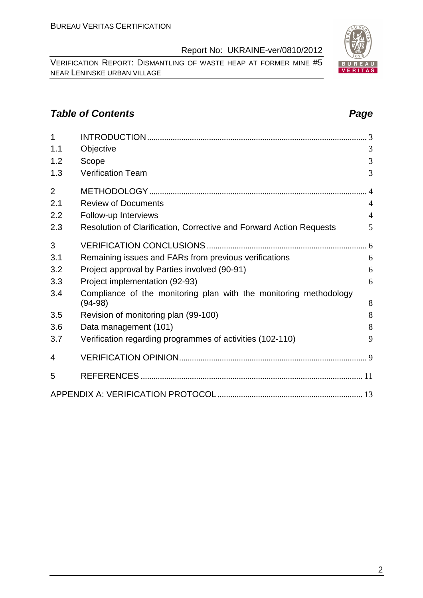VERIFICATION REPORT: DISMANTLING OF WASTE HEAP AT FORMER MINE #5 NEAR LENINSKE URBAN VILLAGE

# **Table of Contents Page 2014**

| 1              |                                                                     |                |
|----------------|---------------------------------------------------------------------|----------------|
| 1.1            | Objective                                                           | 3              |
| 1.2            | Scope                                                               | 3              |
| 1.3            | <b>Verification Team</b>                                            | 3              |
| $\overline{2}$ |                                                                     |                |
| 2.1            | <b>Review of Documents</b>                                          | $\overline{4}$ |
| 2.2            | Follow-up Interviews                                                | $\overline{4}$ |
| 2.3            | Resolution of Clarification, Corrective and Forward Action Requests | 5              |
| 3              |                                                                     |                |
| 3.1            | Remaining issues and FARs from previous verifications               | 6              |
| 3.2            | Project approval by Parties involved (90-91)                        | 6              |
| 3.3            | Project implementation (92-93)                                      | 6              |
| 3.4            | Compliance of the monitoring plan with the monitoring methodology   |                |
|                | $(94-98)$                                                           | 8              |
| 3.5            | Revision of monitoring plan (99-100)                                | 8              |
| 3.6            | Data management (101)                                               | 8              |
| 3.7            | Verification regarding programmes of activities (102-110)           | 9              |
| 4              |                                                                     |                |
| 5              |                                                                     |                |
|                |                                                                     |                |

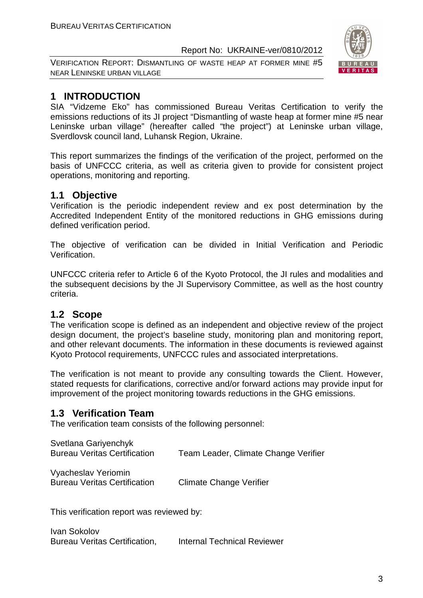VERIFICATION REPORT: DISMANTLING OF WASTE HEAP AT FORMER MINE #5 NEAR LENINSKE URBAN VILLAGE



## **1 INTRODUCTION**

SIA "Vidzeme Eko" has commissioned Bureau Veritas Certification to verify the emissions reductions of its JI project "Dismantling of waste heap at former mine #5 near Leninske urban village" (hereafter called "the project") at Leninske urban village, Sverdlovsk council land, Luhansk Region, Ukraine.

This report summarizes the findings of the verification of the project, performed on the basis of UNFCCC criteria, as well as criteria given to provide for consistent project operations, monitoring and reporting.

#### **1.1 Objective**

Verification is the periodic independent review and ex post determination by the Accredited Independent Entity of the monitored reductions in GHG emissions during defined verification period.

The objective of verification can be divided in Initial Verification and Periodic Verification.

UNFCCC criteria refer to Article 6 of the Kyoto Protocol, the JI rules and modalities and the subsequent decisions by the JI Supervisory Committee, as well as the host country criteria.

#### **1.2 Scope**

The verification scope is defined as an independent and objective review of the project design document, the project's baseline study, monitoring plan and monitoring report, and other relevant documents. The information in these documents is reviewed against Kyoto Protocol requirements, UNFCCC rules and associated interpretations.

The verification is not meant to provide any consulting towards the Client. However, stated requests for clarifications, corrective and/or forward actions may provide input for improvement of the project monitoring towards reductions in the GHG emissions.

#### **1.3 Verification Team**

The verification team consists of the following personnel:

| Svetlana Gariyenchyk                |                                      |
|-------------------------------------|--------------------------------------|
| <b>Bureau Veritas Certification</b> | Team Leader, Climate Change Verifier |
|                                     |                                      |

Vyacheslav Yeriomin Bureau Veritas Certification Climate Change Verifier

This verification report was reviewed by:

Ivan Sokolov Bureau Veritas Certification, Internal Technical Reviewer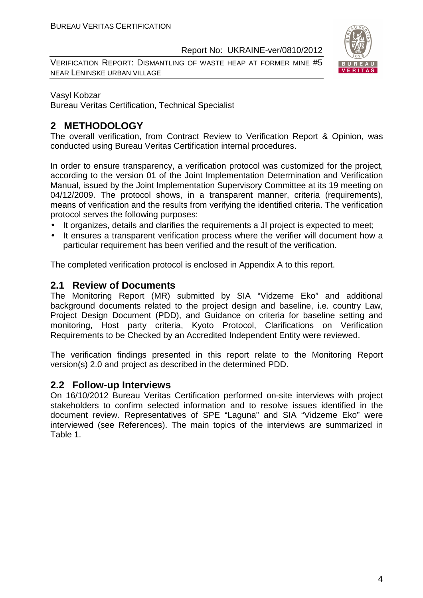VERIFICATION REPORT: DISMANTLING OF WASTE HEAP AT FORMER MINE #5 NEAR LENINSKE URBAN VILLAGE



#### Vasyl Kobzar

Bureau Veritas Certification, Technical Specialist

#### **2 METHODOLOGY**

The overall verification, from Contract Review to Verification Report & Opinion, was conducted using Bureau Veritas Certification internal procedures.

In order to ensure transparency, a verification protocol was customized for the project, according to the version 01 of the Joint Implementation Determination and Verification Manual, issued by the Joint Implementation Supervisory Committee at its 19 meeting on 04/12/2009. The protocol shows, in a transparent manner, criteria (requirements), means of verification and the results from verifying the identified criteria. The verification protocol serves the following purposes:

- It organizes, details and clarifies the requirements a JI project is expected to meet;
- It ensures a transparent verification process where the verifier will document how a particular requirement has been verified and the result of the verification.

The completed verification protocol is enclosed in Appendix A to this report.

#### **2.1 Review of Documents**

The Monitoring Report (MR) submitted by SIA "Vidzeme Eko" and additional background documents related to the project design and baseline, i.e. country Law, Project Design Document (PDD), and Guidance on criteria for baseline setting and monitoring, Host party criteria, Kyoto Protocol, Clarifications on Verification Requirements to be Checked by an Accredited Independent Entity were reviewed.

The verification findings presented in this report relate to the Monitoring Report version(s) 2.0 and project as described in the determined PDD.

#### **2.2 Follow-up Interviews**

On 16/10/2012 Bureau Veritas Certification performed on-site interviews with project stakeholders to confirm selected information and to resolve issues identified in the document review. Representatives of SPE "Laguna" and SIA "Vidzeme Eko" were interviewed (see References). The main topics of the interviews are summarized in Table 1.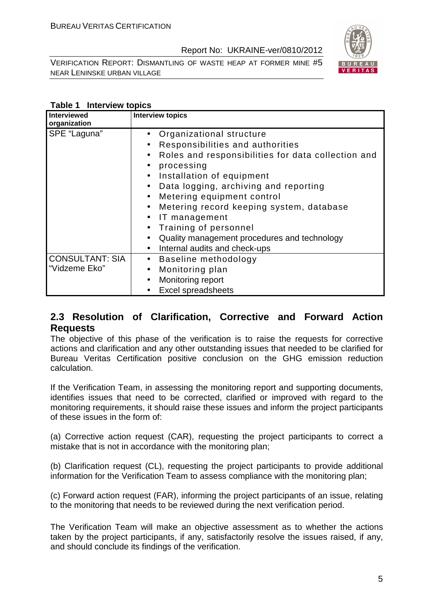VERIFICATION REPORT: DISMANTLING OF WASTE HEAP AT FORMER MINE #5 NEAR LENINSKE URBAN VILLAGE



#### **Table 1 Interview topics**

| <b>Interviewed</b><br>organization      | <b>Interview topics</b>                                                                                                                                                                                                                                                                                                                                                                                                                                                                                                                                                 |
|-----------------------------------------|-------------------------------------------------------------------------------------------------------------------------------------------------------------------------------------------------------------------------------------------------------------------------------------------------------------------------------------------------------------------------------------------------------------------------------------------------------------------------------------------------------------------------------------------------------------------------|
| SPE "Laguna"                            | Organizational structure<br>$\bullet$<br>Responsibilities and authorities<br>$\bullet$<br>Roles and responsibilities for data collection and<br>$\bullet$<br>processing<br>$\bullet$<br>Installation of equipment<br>$\bullet$<br>Data logging, archiving and reporting<br>$\bullet$<br>Metering equipment control<br>$\bullet$<br>Metering record keeping system, database<br>$\bullet$<br>IT management<br>$\bullet$<br>Training of personnel<br>$\bullet$<br>Quality management procedures and technology<br>$\bullet$<br>Internal audits and check-ups<br>$\bullet$ |
| <b>CONSULTANT: SIA</b><br>"Vidzeme Eko" | Baseline methodology<br>$\bullet$<br>Monitoring plan<br>$\bullet$<br>Monitoring report<br>$\bullet$<br><b>Excel spreadsheets</b>                                                                                                                                                                                                                                                                                                                                                                                                                                        |

#### **2.3 Resolution of Clarification, Corrective and Forward Action Requests**

The objective of this phase of the verification is to raise the requests for corrective actions and clarification and any other outstanding issues that needed to be clarified for Bureau Veritas Certification positive conclusion on the GHG emission reduction calculation.

If the Verification Team, in assessing the monitoring report and supporting documents, identifies issues that need to be corrected, clarified or improved with regard to the monitoring requirements, it should raise these issues and inform the project participants of these issues in the form of:

(a) Corrective action request (CAR), requesting the project participants to correct a mistake that is not in accordance with the monitoring plan;

(b) Clarification request (CL), requesting the project participants to provide additional information for the Verification Team to assess compliance with the monitoring plan;

(c) Forward action request (FAR), informing the project participants of an issue, relating to the monitoring that needs to be reviewed during the next verification period.

The Verification Team will make an objective assessment as to whether the actions taken by the project participants, if any, satisfactorily resolve the issues raised, if any, and should conclude its findings of the verification.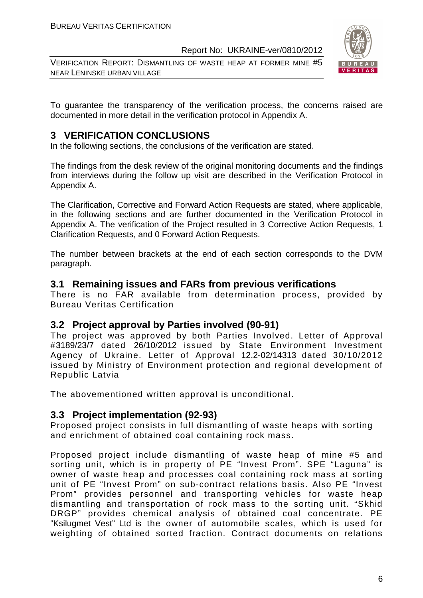VERIFICATION REPORT: DISMANTLING OF WASTE HEAP AT FORMER MINE #5 NEAR LENINSKE URBAN VILLAGE



To guarantee the transparency of the verification process, the concerns raised are documented in more detail in the verification protocol in Appendix A.

### **3 VERIFICATION CONCLUSIONS**

In the following sections, the conclusions of the verification are stated.

The findings from the desk review of the original monitoring documents and the findings from interviews during the follow up visit are described in the Verification Protocol in Appendix A.

The Clarification, Corrective and Forward Action Requests are stated, where applicable, in the following sections and are further documented in the Verification Protocol in Appendix A. The verification of the Project resulted in 3 Corrective Action Requests, 1 Clarification Requests, and 0 Forward Action Requests.

The number between brackets at the end of each section corresponds to the DVM paragraph.

#### **3.1 Remaining issues and FARs from previous verifications**

There is no FAR available from determination process, provided by Bureau Veritas Certification

#### **3.2 Project approval by Parties involved (90-91)**

The project was approved by both Parties Involved. Letter of Approval #3189/23/7 dated 26/10/2012 issued by State Environment Investment Agency of Ukraine. Letter of Approval 12.2-02/14313 dated 30/10/2012 issued by Ministry of Environment protection and regional development of Republic Latvia

The abovementioned written approval is unconditional.

#### **3.3 Project implementation (92-93)**

Proposed project consists in full dismantling of waste heaps with sorting and enrichment of obtained coal containing rock mass.

Proposed project include dismantling of waste heap of mine #5 and sorting unit, which is in property of PE "Invest Prom". SPE "Laguna" is owner of waste heap and processes coal containing rock mass at sorting unit of PE "Invest Prom" on sub-contract relations basis. Also PE "Invest Prom" provides personnel and transporting vehicles for waste heap dismantling and transportation of rock mass to the sorting unit. "Skhid DRGP" provides chemical analysis of obtained coal concentrate. PE "Ksilugmet Vest" Ltd is the owner of automobile scales, which is used for weighting of obtained sorted fraction. Contract documents on relations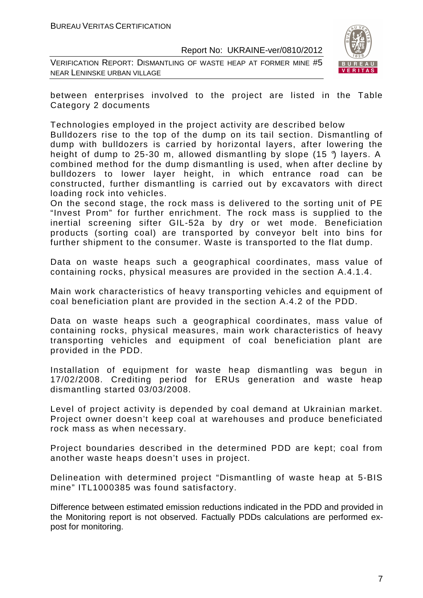VERIFICATION REPORT: DISMANTLING OF WASTE HEAP AT FORMER MINE #5 NEAR LENINSKE URBAN VILLAGE



between enterprises involved to the project are listed in the Table Category 2 documents

Technologies employed in the project activity are described below

Bulldozers rise to the top of the dump on its tail section. Dismantling of dump with bulldozers is carried by horizontal layers, after lowering the height of dump to 25-30 m, allowed dismantling by slope (15 °) layers. A combined method for the dump dismantling is used, when after decline by bulldozers to lower layer height, in which entrance road can be constructed, further dismantling is carried out by excavators with direct loading rock into vehicles.

On the second stage, the rock mass is delivered to the sorting unit of PE "Invest Prom" for further enrichment. The rock mass is supplied to the inertial screening sifter GIL-52a by dry or wet mode. Beneficiation products (sorting coal) are transported by conveyor belt into bins for further shipment to the consumer. Waste is transported to the flat dump.

Data on waste heaps such a geographical coordinates, mass value of containing rocks, physical measures are provided in the section A.4.1.4.

Main work characteristics of heavy transporting vehicles and equipment of coal beneficiation plant are provided in the section A.4.2 of the PDD.

Data on waste heaps such a geographical coordinates, mass value of containing rocks, physical measures, main work characteristics of heavy transporting vehicles and equipment of coal beneficiation plant are provided in the PDD.

Installation of equipment for waste heap dismantling was begun in 17/02/2008. Crediting period for ERUs generation and waste heap dismantling started 03/03/2008.

Level of project activity is depended by coal demand at Ukrainian market. Project owner doesn't keep coal at warehouses and produce beneficiated rock mass as when necessary.

Project boundaries described in the determined PDD are kept; coal from another waste heaps doesn't uses in project.

Delineation with determined project "Dismantling of waste heap at 5-BIS mine" ITL1000385 was found satisfactory.

Difference between estimated emission reductions indicated in the PDD and provided in the Monitoring report is not observed. Factually PDDs calculations are performed expost for monitoring.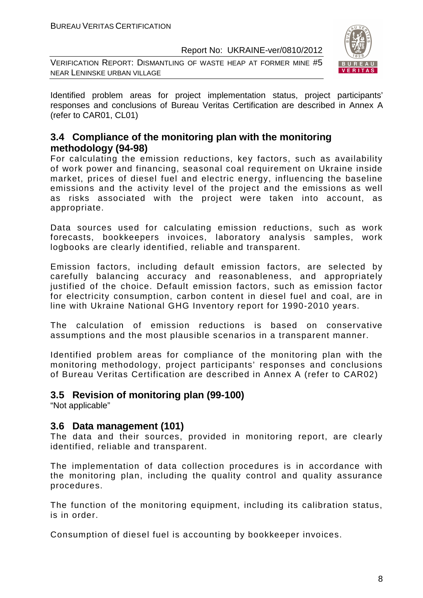VERIFICATION REPORT: DISMANTLING OF WASTE HEAP AT FORMER MINE #5 NEAR LENINSKE URBAN VILLAGE



Identified problem areas for project implementation status, project participants' responses and conclusions of Bureau Veritas Certification are described in Annex A (refer to CAR01, CL01)

#### **3.4 Compliance of the monitoring plan with the monitoring methodology (94-98)**

For calculating the emission reductions, key factors, such as availability of work power and financing, seasonal coal requirement on Ukraine inside market, prices of diesel fuel and electric energy, influencing the baseline emissions and the activity level of the project and the emissions as well as risks associated with the project were taken into account, as appropriate.

Data sources used for calculating emission reductions, such as work forecasts, bookkeepers invoices, laboratory analysis samples, work logbooks are clearly identified, reliable and transparent.

Emission factors, including default emission factors, are selected by carefully balancing accuracy and reasonableness, and appropriately justified of the choice. Default emission factors, such as emission factor for electricity consumption, carbon content in diesel fuel and coal, are in line with Ukraine National GHG Inventory report for 1990-2010 years.

The calculation of emission reductions is based on conservative assumptions and the most plausible scenarios in a transparent manner.

Identified problem areas for compliance of the monitoring plan with the monitoring methodology, project participants' responses and conclusions of Bureau Veritas Certification are described in Annex A (refer to CAR02)

#### **3.5 Revision of monitoring plan (99-100)**

"Not applicable"

#### **3.6 Data management (101)**

The data and their sources, provided in monitoring report, are clearly identified, reliable and transparent.

The implementation of data collection procedures is in accordance with the monitoring plan, including the quality control and quality assurance procedures.

The function of the monitoring equipment, including its calibration status, is in order.

Consumption of diesel fuel is accounting by bookkeeper invoices.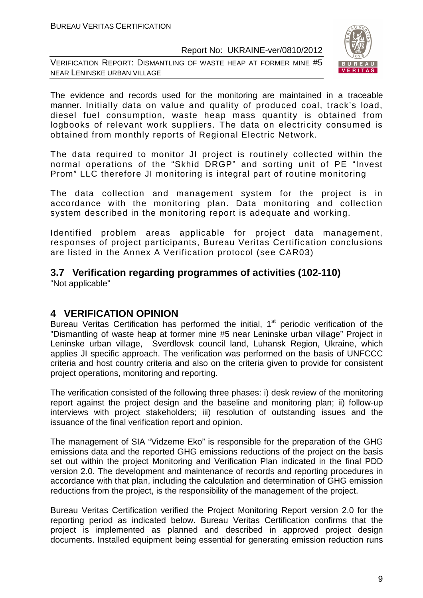VERIFICATION REPORT: DISMANTLING OF WASTE HEAP AT FORMER MINE #5 NEAR LENINSKE URBAN VILLAGE



The evidence and records used for the monitoring are maintained in a traceable manner. Initially data on value and quality of produced coal, track's load, diesel fuel consumption, waste heap mass quantity is obtained from logbooks of relevant work suppliers. The data on electricity consumed is obtained from monthly reports of Regional Electric Network.

The data required to monitor JI project is routinely collected within the normal operations of the "Skhid DRGP" and sorting unit of PE "Invest Prom" LLC therefore JI monitoring is integral part of routine monitoring

The data collection and management system for the project is in accordance with the monitoring plan. Data monitoring and collection system described in the monitoring report is adequate and working.

Identified problem areas applicable for project data management, responses of project participants, Bureau Veritas Certification conclusions are listed in the Annex A Verification protocol (see CAR03)

#### **3.7 Verification regarding programmes of activities (102-110)**  "Not applicable"

# **4 VERIFICATION OPINION**

Bureau Veritas Certification has performed the initial, 1<sup>st</sup> periodic verification of the "Dismantling of waste heap at former mine #5 near Leninske urban village" Project in Leninske urban village, Sverdlovsk council land, Luhansk Region, Ukraine, which applies JI specific approach. The verification was performed on the basis of UNFCCC criteria and host country criteria and also on the criteria given to provide for consistent project operations, monitoring and reporting.

The verification consisted of the following three phases: i) desk review of the monitoring report against the project design and the baseline and monitoring plan; ii) follow-up interviews with project stakeholders; iii) resolution of outstanding issues and the issuance of the final verification report and opinion.

The management of SIA "Vidzeme Eko" is responsible for the preparation of the GHG emissions data and the reported GHG emissions reductions of the project on the basis set out within the project Monitoring and Verification Plan indicated in the final PDD version 2.0. The development and maintenance of records and reporting procedures in accordance with that plan, including the calculation and determination of GHG emission reductions from the project, is the responsibility of the management of the project.

Bureau Veritas Certification verified the Project Monitoring Report version 2.0 for the reporting period as indicated below. Bureau Veritas Certification confirms that the project is implemented as planned and described in approved project design documents. Installed equipment being essential for generating emission reduction runs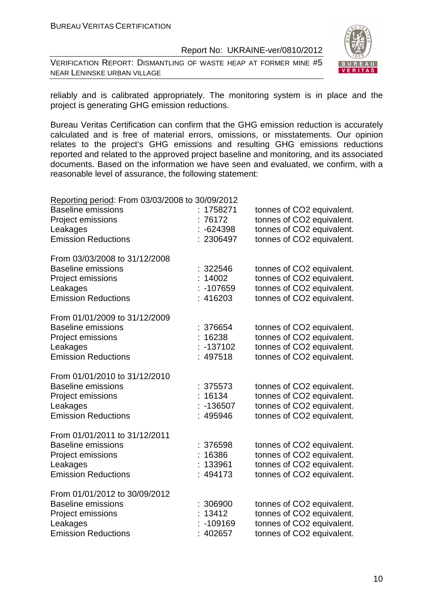VERIFICATION REPORT: DISMANTLING OF WASTE HEAP AT FORMER MINE #5 NEAR LENINSKE URBAN VILLAGE



reliably and is calibrated appropriately. The monitoring system is in place and the project is generating GHG emission reductions.

Bureau Veritas Certification can confirm that the GHG emission reduction is accurately calculated and is free of material errors, omissions, or misstatements. Our opinion relates to the project's GHG emissions and resulting GHG emissions reductions reported and related to the approved project baseline and monitoring, and its associated documents. Based on the information we have seen and evaluated, we confirm, with a reasonable level of assurance, the following statement:

| Reporting period: From 03/03/2008 to 30/09/2012 |             |                           |
|-------------------------------------------------|-------------|---------------------------|
| <b>Baseline emissions</b>                       | : 1758271   | tonnes of CO2 equivalent. |
| Project emissions                               | 76172       | tonnes of CO2 equivalent. |
| Leakages                                        | $-624398$   | tonnes of CO2 equivalent. |
| <b>Emission Reductions</b>                      | : 2306497   | tonnes of CO2 equivalent. |
| From 03/03/2008 to 31/12/2008                   |             |                           |
| <b>Baseline emissions</b>                       | 322546      | tonnes of CO2 equivalent. |
| Project emissions                               | 14002       | tonnes of CO2 equivalent. |
| Leakages                                        | -107659     | tonnes of CO2 equivalent. |
| <b>Emission Reductions</b>                      | 416203      | tonnes of CO2 equivalent. |
| From 01/01/2009 to 31/12/2009                   |             |                           |
| <b>Baseline emissions</b>                       | 376654      | tonnes of CO2 equivalent. |
| Project emissions                               | 16238       | tonnes of CO2 equivalent. |
| Leakages                                        | $: -137102$ | tonnes of CO2 equivalent. |
| <b>Emission Reductions</b>                      | : 497518    | tonnes of CO2 equivalent. |
| From 01/01/2010 to 31/12/2010                   |             |                           |
| <b>Baseline emissions</b>                       | : 375573    | tonnes of CO2 equivalent. |
| Project emissions                               | 16134       | tonnes of CO2 equivalent. |
| Leakages                                        | $-136507$   | tonnes of CO2 equivalent. |
| <b>Emission Reductions</b>                      | 495946      | tonnes of CO2 equivalent. |
| From 01/01/2011 to 31/12/2011                   |             |                           |
| <b>Baseline emissions</b>                       | 376598      | tonnes of CO2 equivalent. |
| Project emissions                               | 16386       | tonnes of CO2 equivalent. |
| Leakages                                        | 133961      | tonnes of CO2 equivalent. |
| <b>Emission Reductions</b>                      | 494173      | tonnes of CO2 equivalent. |
| From 01/01/2012 to 30/09/2012                   |             |                           |
| <b>Baseline emissions</b>                       | : 306900    | tonnes of CO2 equivalent. |
| Project emissions                               | 13412       | tonnes of CO2 equivalent. |
| Leakages                                        | $-109169$   | tonnes of CO2 equivalent. |
| <b>Emission Reductions</b>                      | :402657     | tonnes of CO2 equivalent. |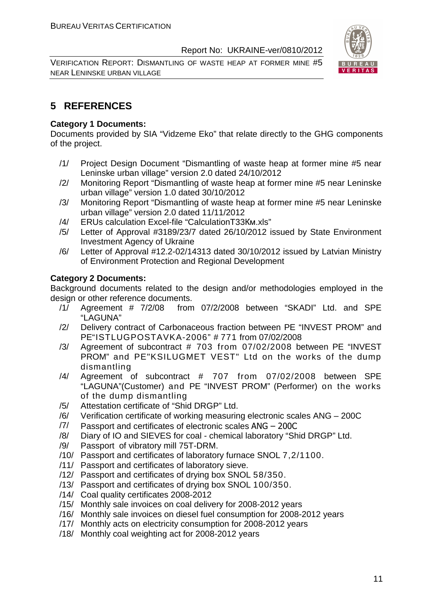VERIFICATION REPORT: DISMANTLING OF WASTE HEAP AT FORMER MINE #5 NEAR LENINSKE URBAN VILLAGE



### **5 REFERENCES**

#### **Category 1 Documents:**

Documents provided by SIA "Vidzeme Eko" that relate directly to the GHG components of the project.

- /1/ Project Design Document "Dismantling of waste heap at former mine #5 near Leninske urban village" version 2.0 dated 24/10/2012
- /2/ Monitoring Report "Dismantling of waste heap at former mine #5 near Leninske urban village" version 1.0 dated 30/10/2012
- /3/ Monitoring Report "Dismantling of waste heap at former mine #5 near Leninske urban village" version 2.0 dated 11/11/2012
- /4/ ERUs calculation Excel-file "CalculationT33Км.xls"
- /5/ Letter of Approval #3189/23/7 dated 26/10/2012 issued by State Environment Investment Agency of Ukraine
- /6/ Letter of Approval #12.2-02/14313 dated 30/10/2012 issued by Latvian Ministry of Environment Protection and Regional Development

#### **Category 2 Documents:**

Background documents related to the design and/or methodologies employed in the design or other reference documents.

- $1/1$  Agreement # 7/2/08 from 07/2/2008 between "SKADI" Ltd. and SPE "LAGUNA"
- /2/ Delivery contract of Carbonaceous fraction between PE "INVEST PROM" and PE"ISTLUGPOSTAVKA-2006" # 771 from 07/02/2008
- /3/ Agreement of subcontract # 703 from 07/02/2008 between PE "INVEST PROM" and PE"KSILUGMET VEST" Ltd on the works of the dump dismantling
- /4/ Agreement of subcontract # 707 from 07/02/2008 between SPE "LAGUNA"(Customer) and PE "INVEST PROM" (Performer) on the works of the dump dismantling
- /5/ Attestation certificate of "Shid DRGP" Ltd.
- /6/ Verification certificate of working measuring electronic scales ANG 200C
- /7/ Passport and certificates of electronic scales ANG 200C
- /8/ Diary of IO and SIEVES for coal chemical laboratory "Shid DRGP" Ltd.
- /9/ Passport of vibratory mill 75T-DRM.
- /10/ Passport and certificates of laboratory furnace SNOL 7,2/1100.
- /11/ Passport and certificates of laboratory sieve.
- /12/ Passport and certificates of drying box SNOL 58/350.
- /13/ Passport and certificates of drying box SNOL 100/350.
- /14/ Coal quality certificates 2008-2012
- /15/ Monthly sale invoices on coal delivery for 2008-2012 years
- /16/ Monthly sale invoices on diesel fuel consumption for 2008-2012 years
- /17/ Monthly acts on electricity consumption for 2008-2012 years
- /18/ Monthly coal weighting act for 2008-2012 years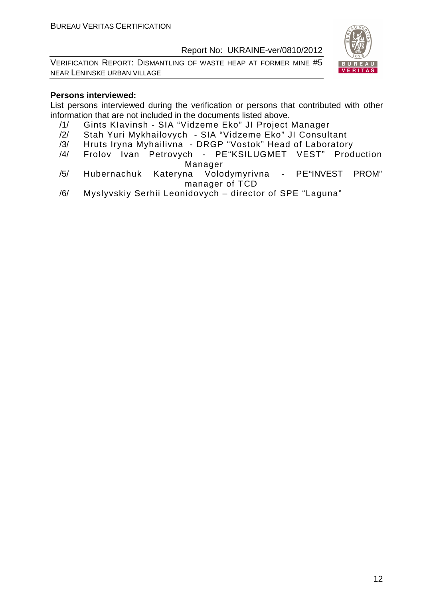VERIFICATION REPORT: DISMANTLING OF WASTE HEAP AT FORMER MINE #5 NEAR LENINSKE URBAN VILLAGE



#### **Persons interviewed:**

List persons interviewed during the verification or persons that contributed with other information that are not included in the documents listed above.

- /1/ Gints KIavinsh SIA "Vidzeme Eko" JI Project Manager
- /2/ Stah Yuri Mykhailovych SIA "Vidzeme Eko" JI Consultant
- /3/ Hruts Iryna Myhailivna DRGP "Vostok" Head of Laboratory
- /4/ Frolov Ivan Petrovych PE"KSILUGMET VEST" Production Manager
- /5/ Hubernachuk Kateryna Volodymyrivna PE"INVEST PROM" manager of TCD
- /6/ Myslyvskiy Serhii Leonidovych director of SPE "Laguna"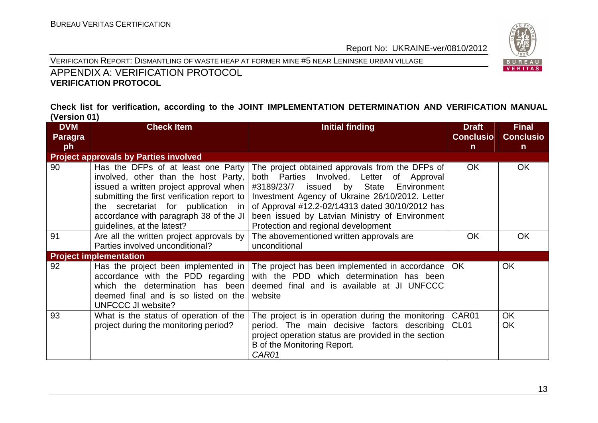



### APPENDIX A: VERIFICATION PROTOCOL **VERIFICATION PROTOCOL**

#### **Check list for verification, according to the JOINT IMPLEMENTATION DETERMINATION AND VERIFICATION MANUAL (Version 01)**

| <b>DVM</b>     | <b>Check Item</b><br><b>Initial finding</b>                                                                                                                                                                                                                                         |                                                                                                                                                                                                                                                                                                                                                | <b>Draft</b>              | <b>Final</b>           |
|----------------|-------------------------------------------------------------------------------------------------------------------------------------------------------------------------------------------------------------------------------------------------------------------------------------|------------------------------------------------------------------------------------------------------------------------------------------------------------------------------------------------------------------------------------------------------------------------------------------------------------------------------------------------|---------------------------|------------------------|
| <b>Paragra</b> |                                                                                                                                                                                                                                                                                     |                                                                                                                                                                                                                                                                                                                                                | <b>Conclusio</b>          | <b>Conclusio</b>       |
| ph             |                                                                                                                                                                                                                                                                                     |                                                                                                                                                                                                                                                                                                                                                | $\mathsf{n}$              | $\mathsf{n}$           |
|                | <b>Project approvals by Parties involved</b>                                                                                                                                                                                                                                        |                                                                                                                                                                                                                                                                                                                                                |                           |                        |
| 90             | Has the DFPs of at least one Party<br>involved, other than the host Party,<br>issued a written project approval when  <br>submitting the first verification report to<br>the secretariat for publication in<br>accordance with paragraph 38 of the JI<br>guidelines, at the latest? | The project obtained approvals from the DFPs of<br>both Parties Involved. Letter of Approval<br>issued by<br>State<br>#3189/23/7<br>Environment<br>Investment Agency of Ukraine 26/10/2012. Letter<br>of Approval #12.2-02/14313 dated 30/10/2012 has<br>been issued by Latvian Ministry of Environment<br>Protection and regional development | <b>OK</b>                 | <b>OK</b>              |
| 91             | Are all the written project approvals by<br>Parties involved unconditional?                                                                                                                                                                                                         | The abovementioned written approvals are<br>unconditional                                                                                                                                                                                                                                                                                      | <b>OK</b>                 | <b>OK</b>              |
|                | <b>Project implementation</b>                                                                                                                                                                                                                                                       |                                                                                                                                                                                                                                                                                                                                                |                           |                        |
| 92             | Has the project been implemented in<br>accordance with the PDD regarding<br>which the determination has been<br>deemed final and is so listed on the<br>UNFCCC JI website?                                                                                                          | The project has been implemented in accordance<br>with the PDD which determination has been<br>deemed final and is available at JI UNFCCC<br>website                                                                                                                                                                                           | <b>OK</b>                 | <b>OK</b>              |
| 93             | What is the status of operation of the<br>project during the monitoring period?                                                                                                                                                                                                     | The project is in operation during the monitoring<br>period. The main decisive factors describing<br>project operation status are provided in the section<br>B of the Monitoring Report.<br>CAR01                                                                                                                                              | CAR01<br>CL <sub>01</sub> | <b>OK</b><br><b>OK</b> |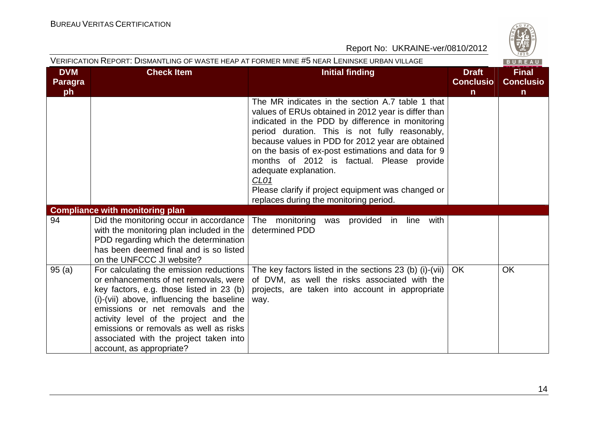

|                                    | VERIFICATION REPORT: DISMANTLING OF WASTE HEAP AT FORMER MINE #5 NEAR LENINSKE URBAN VILLAGE<br>BUREAU                                                                                                                                                                                                                                                                  |                                                                                                                                                                                                                                                                                                                                                                                                                                                                                                                   |                                                  |                                                  |  |  |
|------------------------------------|-------------------------------------------------------------------------------------------------------------------------------------------------------------------------------------------------------------------------------------------------------------------------------------------------------------------------------------------------------------------------|-------------------------------------------------------------------------------------------------------------------------------------------------------------------------------------------------------------------------------------------------------------------------------------------------------------------------------------------------------------------------------------------------------------------------------------------------------------------------------------------------------------------|--------------------------------------------------|--------------------------------------------------|--|--|
| <b>DVM</b><br><b>Paragra</b><br>ph | <b>Check Item</b>                                                                                                                                                                                                                                                                                                                                                       | <b>Initial finding</b>                                                                                                                                                                                                                                                                                                                                                                                                                                                                                            | <b>Draft</b><br><b>Conclusio</b><br>$\mathsf{n}$ | <b>Final</b><br><b>Conclusio</b><br>$\mathsf{n}$ |  |  |
|                                    |                                                                                                                                                                                                                                                                                                                                                                         | The MR indicates in the section A.7 table 1 that<br>values of ERUs obtained in 2012 year is differ than<br>indicated in the PDD by difference in monitoring<br>period duration. This is not fully reasonably,<br>because values in PDD for 2012 year are obtained<br>on the basis of ex-post estimations and data for 9<br>months of 2012 is factual. Please provide<br>adequate explanation.<br>CL <sub>01</sub><br>Please clarify if project equipment was changed or<br>replaces during the monitoring period. |                                                  |                                                  |  |  |
|                                    | <b>Compliance with monitoring plan</b>                                                                                                                                                                                                                                                                                                                                  |                                                                                                                                                                                                                                                                                                                                                                                                                                                                                                                   |                                                  |                                                  |  |  |
| 94                                 | Did the monitoring occur in accordance<br>with the monitoring plan included in the<br>PDD regarding which the determination<br>has been deemed final and is so listed<br>on the UNFCCC JI website?                                                                                                                                                                      | The monitoring<br>was provided in line<br>with<br>determined PDD                                                                                                                                                                                                                                                                                                                                                                                                                                                  |                                                  |                                                  |  |  |
| 95(a)                              | For calculating the emission reductions<br>or enhancements of net removals, were<br>key factors, e.g. those listed in 23 (b)<br>(i)-(vii) above, influencing the baseline<br>emissions or net removals and the<br>activity level of the project and the<br>emissions or removals as well as risks<br>associated with the project taken into<br>account, as appropriate? | The key factors listed in the sections 23 (b) (i)-(vii)<br>of DVM, as well the risks associated with the<br>projects, are taken into account in appropriate<br>way.                                                                                                                                                                                                                                                                                                                                               | <b>OK</b>                                        | OK                                               |  |  |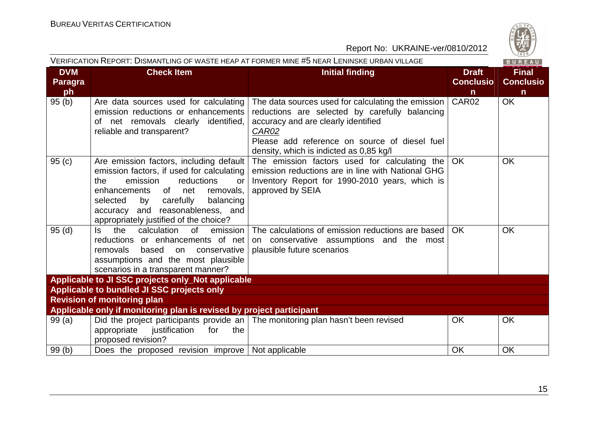

| VERIFICATION REPORT: DISMANTLING OF WASTE HEAP AT FORMER MINE #5 NEAR LENINSKE URBAN VILLAGE |                                                                                                                                                                                                                                                                                           |                                                                                                                                                                                                                                                  |                                                  |                                                            |
|----------------------------------------------------------------------------------------------|-------------------------------------------------------------------------------------------------------------------------------------------------------------------------------------------------------------------------------------------------------------------------------------------|--------------------------------------------------------------------------------------------------------------------------------------------------------------------------------------------------------------------------------------------------|--------------------------------------------------|------------------------------------------------------------|
| <b>DVM</b><br><b>Paragra</b><br>ph                                                           | <b>Check Item</b>                                                                                                                                                                                                                                                                         | <b>Initial finding</b>                                                                                                                                                                                                                           | <b>Draft</b><br><b>Conclusio</b><br>$\mathsf{n}$ | BUREAU<br><b>Final</b><br><b>Conclusio</b><br>$\mathsf{n}$ |
| 95(b)                                                                                        | Are data sources used for calculating<br>emission reductions or enhancements<br>of net removals clearly identified,<br>reliable and transparent?                                                                                                                                          | The data sources used for calculating the emission<br>reductions are selected by carefully balancing<br>accuracy and are clearly identified<br>CAR02<br>Please add reference on source of diesel fuel<br>density, which is indicted as 0,85 kg/l | CAR <sub>02</sub>                                | <b>OK</b>                                                  |
| 95(c)                                                                                        | Are emission factors, including default<br>emission factors, if used for calculating<br>emission<br>reductions<br>the<br>or<br>of net<br>removals,<br>enhancements<br>balancing<br>selected<br>by carefully<br>accuracy and reasonableness, and<br>appropriately justified of the choice? | The emission factors used for calculating the<br>emission reductions are in line with National GHG<br>Inventory Report for 1990-2010 years, which is<br>approved by SEIA                                                                         | <b>OK</b>                                        | <b>OK</b>                                                  |
| 95(d)                                                                                        | calculation of<br>the<br>emission<br>ls.<br>reductions or enhancements of net<br>removals<br>based on conservative<br>assumptions and the most plausible<br>scenarios in a transparent manner?                                                                                            | The calculations of emission reductions are based<br>on conservative assumptions and the most<br>plausible future scenarios                                                                                                                      | <b>OK</b>                                        | <b>OK</b>                                                  |
|                                                                                              | Applicable to JI SSC projects only_Not applicable                                                                                                                                                                                                                                         |                                                                                                                                                                                                                                                  |                                                  |                                                            |
|                                                                                              | Applicable to bundled JI SSC projects only                                                                                                                                                                                                                                                |                                                                                                                                                                                                                                                  |                                                  |                                                            |
|                                                                                              | <b>Revision of monitoring plan</b>                                                                                                                                                                                                                                                        |                                                                                                                                                                                                                                                  |                                                  |                                                            |
|                                                                                              | Applicable only if monitoring plan is revised by project participant                                                                                                                                                                                                                      |                                                                                                                                                                                                                                                  | <b>OK</b>                                        | <b>OK</b>                                                  |
| 99(a)                                                                                        | justification<br>appropriate<br>for<br>the<br>proposed revision?                                                                                                                                                                                                                          | Did the project participants provide an   The monitoring plan hasn't been revised                                                                                                                                                                |                                                  |                                                            |
| 99(b)                                                                                        | Does the proposed revision improve   Not applicable                                                                                                                                                                                                                                       |                                                                                                                                                                                                                                                  | <b>OK</b>                                        | OK                                                         |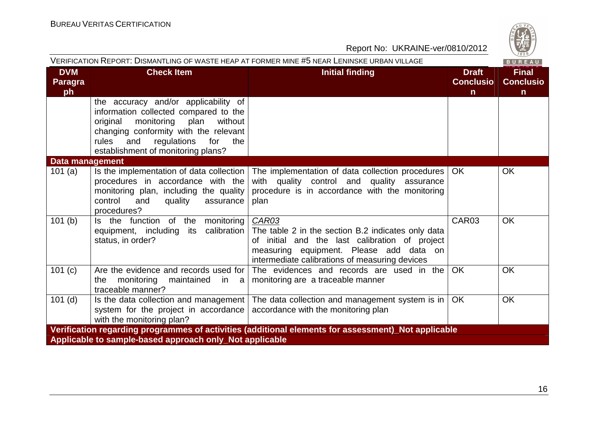| S<br>W |
|--------|
| 828    |

| VERIFICATION REPORT: DISMANTLING OF WASTE HEAP AT FORMER MINE #5 NEAR LENINSKE URBAN VILLAGE<br>BUREAU |                                                                                                                                                                                                                                                  |                                                                                                                                                                                                            |                                                  |                                                  |  |  |
|--------------------------------------------------------------------------------------------------------|--------------------------------------------------------------------------------------------------------------------------------------------------------------------------------------------------------------------------------------------------|------------------------------------------------------------------------------------------------------------------------------------------------------------------------------------------------------------|--------------------------------------------------|--------------------------------------------------|--|--|
| <b>DVM</b><br>Paragra<br>ph                                                                            | <b>Check Item</b>                                                                                                                                                                                                                                | <b>Initial finding</b>                                                                                                                                                                                     | <b>Draft</b><br><b>Conclusio</b><br>$\mathsf{n}$ | <b>Final</b><br><b>Conclusio</b><br>$\mathsf{n}$ |  |  |
|                                                                                                        | the accuracy and/or applicability of<br>information collected compared to the<br>monitoring plan<br>original<br>without<br>changing conformity with the relevant<br>rules<br>regulations for<br>and<br>the<br>establishment of monitoring plans? |                                                                                                                                                                                                            |                                                  |                                                  |  |  |
| Data management                                                                                        |                                                                                                                                                                                                                                                  |                                                                                                                                                                                                            |                                                  |                                                  |  |  |
| 101(a)                                                                                                 | procedures in accordance with the<br>monitoring plan, including the quality<br>control<br>and<br>quality<br>assurance<br>procedures?                                                                                                             | Is the implementation of data collection   The implementation of data collection procedures  <br>with quality control and quality assurance<br>procedure is in accordance with the monitoring<br>plan      | OK.                                              | <b>OK</b>                                        |  |  |
| 101(b)                                                                                                 | Is the function of the<br>monitoring<br>equipment, including its calibration<br>status, in order?                                                                                                                                                | CAR03<br>The table 2 in the section B.2 indicates only data<br>of initial and the last calibration of project<br>measuring equipment. Please add data on<br>intermediate calibrations of measuring devices | CAR03                                            | OK                                               |  |  |
| 101 (c)                                                                                                | Are the evidence and records used for<br>monitoring<br>the<br>maintained in a<br>traceable manner?                                                                                                                                               | The evidences and records are used in the<br>monitoring are a traceable manner                                                                                                                             | <b>OK</b>                                        | <b>OK</b>                                        |  |  |
| $101$ (d)                                                                                              | system for the project in accordance accordance with the monitoring plan<br>with the monitoring plan?                                                                                                                                            | Is the data collection and management   The data collection and management system is in                                                                                                                    | <b>OK</b>                                        | <b>OK</b>                                        |  |  |
| Verification regarding programmes of activities (additional elements for assessment)_Not applicable    |                                                                                                                                                                                                                                                  |                                                                                                                                                                                                            |                                                  |                                                  |  |  |
|                                                                                                        | Applicable to sample-based approach only_Not applicable                                                                                                                                                                                          |                                                                                                                                                                                                            |                                                  |                                                  |  |  |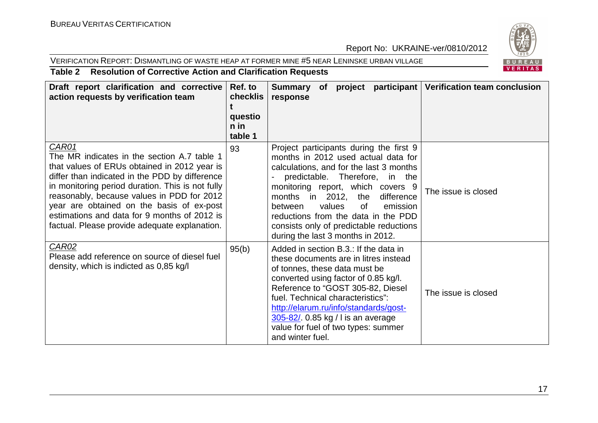#### VERIFICATION REPORT: DISMANTLING OF WASTE HEAP AT FORMER MINE #5 NEAR LENINSKE URBAN VILLAGE



#### **Table 2 Resolution of Corrective Action and Clarification Requests**

| Draft report clarification and corrective<br>action requests by verification team                                                                                                                                                                                                                                                                                                                      | Ref. to<br>checklis<br>questio<br>$n$ in<br>table 1 | Summary of project participant Verification team conclusion<br>response                                                                                                                                                                                                                                                                                                                             |                     |
|--------------------------------------------------------------------------------------------------------------------------------------------------------------------------------------------------------------------------------------------------------------------------------------------------------------------------------------------------------------------------------------------------------|-----------------------------------------------------|-----------------------------------------------------------------------------------------------------------------------------------------------------------------------------------------------------------------------------------------------------------------------------------------------------------------------------------------------------------------------------------------------------|---------------------|
| CAR01<br>The MR indicates in the section A.7 table 1<br>that values of ERUs obtained in 2012 year is<br>differ than indicated in the PDD by difference<br>in monitoring period duration. This is not fully<br>reasonably, because values in PDD for 2012<br>year are obtained on the basis of ex-post<br>estimations and data for 9 months of 2012 is<br>factual. Please provide adequate explanation. | 93                                                  | Project participants during the first 9<br>months in 2012 used actual data for<br>calculations, and for the last 3 months<br>predictable. Therefore, in the<br>monitoring report, which covers 9<br>months in 2012, the<br>difference<br>values<br>0f<br>emission<br>between<br>reductions from the data in the PDD<br>consists only of predictable reductions<br>during the last 3 months in 2012. | The issue is closed |
| <b>CAR02</b><br>Please add reference on source of diesel fuel<br>density, which is indicted as 0,85 kg/l                                                                                                                                                                                                                                                                                               | 95(b)                                               | Added in section B.3.: If the data in<br>these documents are in litres instead<br>of tonnes, these data must be<br>converted using factor of 0.85 kg/l.<br>Reference to "GOST 305-82, Diesel<br>fuel. Technical characteristics":<br>http://elarum.ru/info/standards/gost-<br>305-82/ 0.85 kg / l is an average<br>value for fuel of two types: summer<br>and winter fuel.                          | The issue is closed |